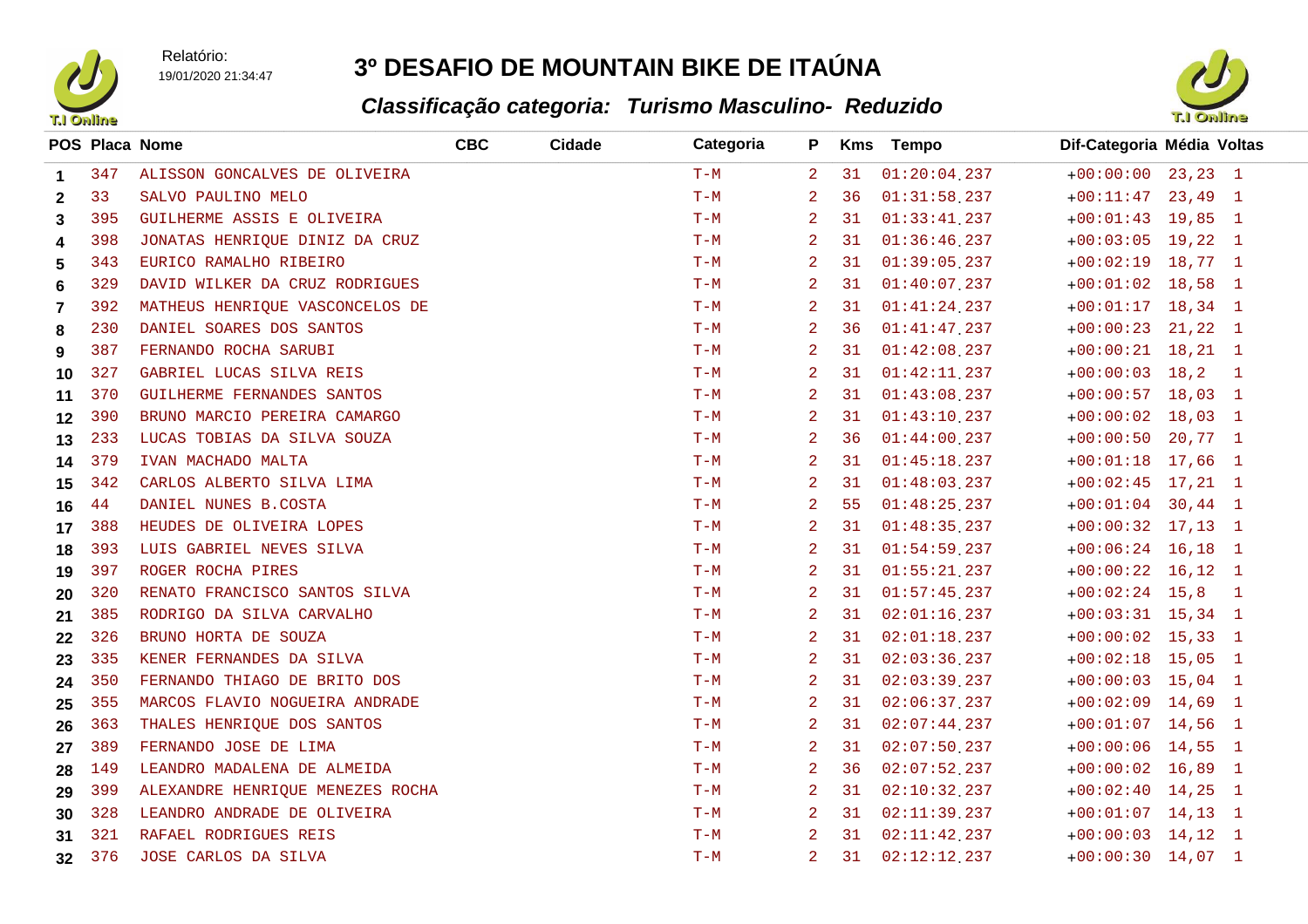Relatório:19/01/2020 21:34:47

## **3º DESAFIO DE MOUNTAIN BIKE DE ITAÚNA**



| <b>T.I Online</b> |     |                                  |            |               | Classificação categoria: Turismo Masculino- Reduzido |                |    |                  | <b>T.I Online</b>                            |  |  |
|-------------------|-----|----------------------------------|------------|---------------|------------------------------------------------------|----------------|----|------------------|----------------------------------------------|--|--|
|                   |     | POS Placa Nome                   | <b>CBC</b> | <b>Cidade</b> | Categoria                                            | P              |    | <b>Kms</b> Tempo | Dif-Categoria Média Voltas                   |  |  |
| $\mathbf 1$       | 347 | ALISSON GONCALVES DE OLIVEIRA    |            |               | $T-M$                                                | 2              | 31 | $01:20:04$ , 237 | $+00:00:00$ 23,23 1                          |  |  |
| $\mathbf{2}$      | 33  | SALVO PAULINO MELO               |            |               | $T-M$                                                | -2             | 36 | $01:31:58$ , 237 | $+00:11:47$ 23,49 1                          |  |  |
| 3                 | 395 | GUILHERME ASSIS E OLIVEIRA       |            |               | $T-M$                                                | 2              | 31 | $01:33:41$ , 237 | $+00:01:43$ 19,85 1                          |  |  |
| 4                 | 398 | JONATAS HENRIQUE DINIZ DA CRUZ   |            |               | $T-M$                                                | 2              | 31 | 01:36:46.237     | $+00:03:05$ 19,22 1                          |  |  |
| 5                 | 343 | EURICO RAMALHO RIBEIRO           |            |               | $T-M$                                                | $\overline{a}$ | 31 | $01:39:05$ 237   | $+00:02:19$ 18,77 1                          |  |  |
| 6                 | 329 | DAVID WILKER DA CRUZ RODRIGUES   |            |               | $T-M$                                                | 2              | 31 | $01:40:07$ 237   | $+00:01:02$ 18,58 1                          |  |  |
| 7                 | 392 | MATHEUS HENRIQUE VASCONCELOS DE  |            |               | $T-M$                                                | $\overline{a}$ | 31 | 01:41:24.237     | $+00:01:17$ 18,34 1                          |  |  |
| 8                 | 230 | DANIEL SOARES DOS SANTOS         |            |               | $T-M$                                                | 2              | 36 | 01:41:47.237     | $+00:00:23$ 21,22 1                          |  |  |
| 9                 | 387 | FERNANDO ROCHA SARUBI            |            |               | $T-M$                                                | 2              | 31 | $01:42:08$ 237   | $+00:00:21$ 18, 21 1                         |  |  |
| 10                | 327 | GABRIEL LUCAS SILVA REIS         |            |               | $T-M$                                                | 2              | 31 | $01:42:11$ , 237 | $+00:00:03$ 18,2<br>$\blacksquare$           |  |  |
| 11                | 370 | GUILHERME FERNANDES SANTOS       |            |               | $T-M$                                                | 2              | 31 | $01:43:08$ , 237 | $+00:00:57$ 18,03 1                          |  |  |
| 12                | 390 | BRUNO MARCIO PEREIRA CAMARGO     |            |               | $T-M$                                                | 2              | 31 | 01:43:10.237     | $+00:00:02$ 18,03 1                          |  |  |
| 13                | 233 | LUCAS TOBIAS DA SILVA SOUZA      |            |               | $T-M$                                                | 2              | 36 | $01:44:00$ 237   | $+00:00:50$ 20,77 1                          |  |  |
| 14                | 379 | IVAN MACHADO MALTA               |            |               | $T-M$                                                | 2              | 31 | $01:45:18$ , 237 | $+00:01:18$ 17,66 1                          |  |  |
| 15                | 342 | CARLOS ALBERTO SILVA LIMA        |            |               | $T-M$                                                | 2              | 31 | 01:48:03.237     | $+00:02:45$ 17,21 1                          |  |  |
| 16                | 44  | DANIEL NUNES B.COSTA             |            |               | $T-M$                                                | 2              | 55 | $01:48:25$ 237   | $+00:01:04$ 30,44 1                          |  |  |
| 17                | 388 | HEUDES DE OLIVEIRA LOPES         |            |               | $T-M$                                                | 2              | 31 | $01:48:35$ 237   | $+00:00:32$ 17,13 1                          |  |  |
| 18                | 393 | LUIS GABRIEL NEVES SILVA         |            |               | $T-M$                                                | -2             | 31 | $01:54:59$ 237   | $+00:06:24$ 16,18 1                          |  |  |
| 19                | 397 | ROGER ROCHA PIRES                |            |               | $T-M$                                                | 2              | 31 | $01:55:21$ , 237 | $+00:00:22$ 16,12 1                          |  |  |
| 20                | 320 | RENATO FRANCISCO SANTOS SILVA    |            |               | $T-M$                                                | 2              | 31 | $01:57:45$ 237   | $+00:02:24$ 15,8<br>$\overline{\phantom{0}}$ |  |  |
| 21                | 385 | RODRIGO DA SILVA CARVALHO        |            |               | $T-M$                                                | 2              | 31 | $02:01:16$ 237   | $+00:03:31$ 15,34 1                          |  |  |
| 22                | 326 | BRUNO HORTA DE SOUZA             |            |               | $T-M$                                                | 2              | 31 | $02:01:18$ 237   | $+00:00:02$ 15,33 1                          |  |  |
| 23                | 335 | KENER FERNANDES DA SILVA         |            |               | $T-M$                                                | 2              | 31 | 02:03:36.237     | $+00:02:18$ 15,05 1                          |  |  |
| 24                | 350 | FERNANDO THIAGO DE BRITO DOS     |            |               | $T-M$                                                | $\overline{a}$ | 31 | 02:03:39.237     | $+00:00:03$ 15,04 1                          |  |  |
| 25                | 355 | MARCOS FLAVIO NOGUEIRA ANDRADE   |            |               | $T-M$                                                | 2              | 31 | 02:06:37.237     | $+00:02:09$ 14,69 1                          |  |  |
| 26                | 363 | THALES HENRIQUE DOS SANTOS       |            |               | $T-M$                                                | 2              | 31 | $02:07:44$ 237   | $+00:01:07$ 14,56 1                          |  |  |
| 27                | 389 | FERNANDO JOSE DE LIMA            |            |               | $T-M$                                                | 2              | 31 | 02:07:50.237     | $+00:00:06$ 14,55 1                          |  |  |
| 28                | 149 | LEANDRO MADALENA DE ALMEIDA      |            |               | $T-M$                                                | 2              | 36 | $02:07:52$ 237   | $+00:00:02$ 16,89 1                          |  |  |
| 29                | 399 | ALEXANDRE HENRIQUE MENEZES ROCHA |            |               | $T-M$                                                | 2              | 31 | $02:10:32$ , 237 | $+00:02:40$ 14,25 1                          |  |  |
| 30                | 328 | LEANDRO ANDRADE DE OLIVEIRA      |            |               | $T-M$                                                | 2              | 31 | 02:11:39.237     | $+00:01:07$ 14,13 1                          |  |  |
| 31                | 321 | RAFAEL RODRIGUES REIS            |            |               | $T-M$                                                | 2              | 31 | 02:11:42.237     | $+00:00:03$ 14,12 1                          |  |  |
| 32                | 376 | JOSE CARLOS DA SILVA             |            |               | $T-M$                                                | $\overline{2}$ | 31 | 02:12:12.237     | $+00:00:30$ 14,07 1                          |  |  |
|                   |     |                                  |            |               |                                                      |                |    |                  |                                              |  |  |